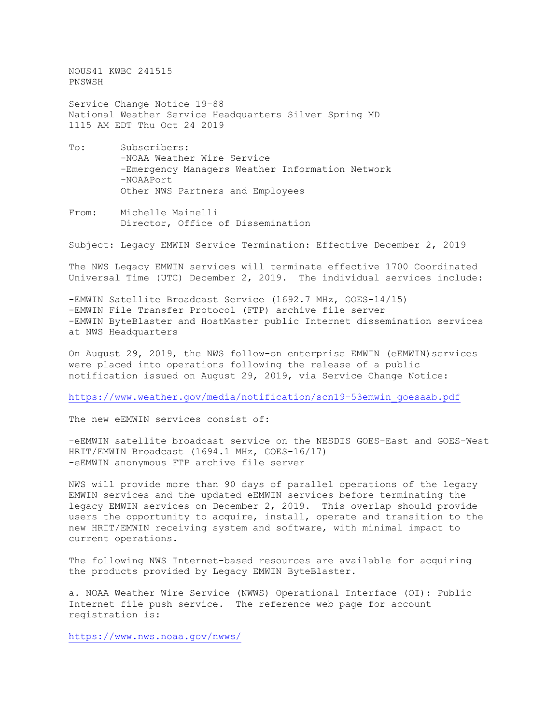NOUS41 KWBC 241515 PNSWSH

Service Change Notice 19-88 National Weather Service Headquarters Silver Spring MD 1115 AM EDT Thu Oct 24 2019

- To: Subscribers: -NOAA Weather Wire Service -Emergency Managers Weather Information Network -NOAAPort Other NWS Partners and Employees
- From: Michelle Mainelli Director, Office of Dissemination

Subject: Legacy EMWIN Service Termination: Effective December 2, 2019

The NWS Legacy EMWIN services will terminate effective 1700 Coordinated Universal Time (UTC) December 2, 2019. The individual services include:

-EMWIN Satellite Broadcast Service (1692.7 MHz, GOES-14/15) -EMWIN File Transfer Protocol (FTP) archive file server -EMWIN ByteBlaster and HostMaster public Internet dissemination services at NWS Headquarters

On August 29, 2019, the NWS follow-on enterprise EMWIN (eEMWIN) services were placed into operations following the release of a public notification issued on August 29, 2019, via Service Change Notice:

[https://www.weather.gov/media/notification/scn19-53emwin\\_goesaab.pdf](https://www.weather.gov/media/notification/scn19-53emwin_goesaab.pdf)

The new eEMWIN services consist of:

-eEMWIN satellite broadcast service on the NESDIS GOES-East and GOES-West HRIT/EMWIN Broadcast (1694.1 MHz, GOES-16/17) -eEMWIN anonymous FTP archive file server

NWS will provide more than 90 days of parallel operations of the legacy EMWIN services and the updated eEMWIN services before terminating the legacy EMWIN services on December 2, 2019. This overlap should provide users the opportunity to acquire, install, operate and transition to the new HRIT/EMWIN receiving system and software, with minimal impact to current operations.

The following NWS Internet-based resources are available for acquiring the products provided by Legacy EMWIN ByteBlaster.

a. NOAA Weather Wire Service (NWWS) Operational Interface (OI): Public Internet file push service. The reference web page for account registration is:

<https://www.nws.noaa.gov/nwws/>